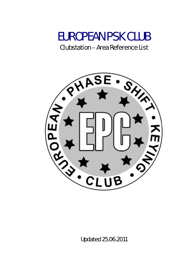

Clubstation – Area Reference List



Updated 25.06.2011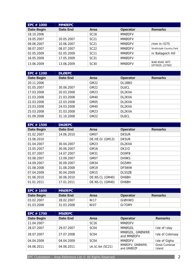| <b>EPC # 1000</b> | <b>MMØEPC</b>   |                  |               |                                   |
|-------------------|-----------------|------------------|---------------|-----------------------------------|
| Date Begin        | <b>Date End</b> | Area             | Operator      | <b>Remarks</b>                    |
| 18.10.2006        |                 | <b>SC16</b>      | <b>MMØDFV</b> |                                   |
| 19.05.2007        | 20.05.2007      | SC <sub>21</sub> | <b>MMØDFV</b> |                                   |
| 09.06.2007        | 10.06.2007      | SC <sub>21</sub> | <b>MMØDFV</b> | /mm in $1075$                     |
| 08.07.2007        | 08.07.2007      | <b>SC22</b>      | <b>MMØDFV</b> | Strathclyde Country Park          |
| 02.05.2009        | 02.05.2009      | <b>SC11</b>      | <b>MMØDFV</b> | nr Ballageich Hill                |
| 16.05.2009        | 17.05.2009      | SC31             | <b>MMØDFV</b> |                                   |
| 13.06.2009        | 13.06.2009      | SC <sub>30</sub> | <b>MMØDFV</b> | WAB NS49, WFF:<br>GFF0029, JO76SC |

| EPC $# 1200$ | <b>DLØEPC</b> |             |                    |                |
|--------------|---------------|-------------|--------------------|----------------|
| Date Begin   | Date End      | Area        | Operator           | <b>Remarks</b> |
| 20.11.2006   |               | GM22        | DL1BBO             |                |
| 01.05.2007   | 30.06.2007    | GM22        | DL <sub>6</sub> CL |                |
| 17.03.2008   | 20.03.2008    | GM23        | DL2KXA             |                |
| 21.03.2008   | 21.03.2008    | <b>GM40</b> | DL2KXA             |                |
| 22.03.2008   | 22.03.2008    | GM05        | DL2KXA             |                |
| 23.03.2008   | 24.03.2008    | <b>GM40</b> | DL2KXA             |                |
| 25.03.2008   | 31.03.2008    | GM23        | DL2KXA             |                |
| 01.09.2008   | 31.10.2008    | GM22        | DL6CL              |                |

| EPC # 1500 | <b>DKØEPC</b>   |                 |              |                |
|------------|-----------------|-----------------|--------------|----------------|
| Date Begin | <b>Date End</b> | Area            | Operator     | <b>Remarks</b> |
| 01.02.2007 | 14.06.2010      | GM07            | DK5UR        |                |
| 15.06.2010 |                 | DE.HE.GI (GM13) | DK5UR        |                |
| 01.04.2007 | 30.04.2007      | GM23            | DL2KXA       |                |
| 15.05.2007 | 30.06.2007      | GM16            | <b>DK1IO</b> |                |
| 01.07.2007 | 14.07.2007      | GM31            | DO9FB        |                |
| 03.08.2007 | 13.09.2007      | GM07            | DH9KS        |                |
| 14.09.2007 | 30.09.2007      | GM34            | DG5MH        |                |
| 01.08.2008 | 31.08.2008      | GM19            | DF5WW        |                |
| 07.04.2009 | 30.04.2009      | GM15            | DL5SZB       |                |
| 01.06.2010 | 30.06.2010      | DE.NS.CL (GM40) | DH6BH        |                |
| 01.01.2011 | 17.01.2011      | DE.NS.CL (GM40) | DH6BH        |                |

| $\mathsf{L}\mathsf{P}\mathsf{C}\ \#$ 1600 $\mathsf{L}\mathsf{P}\mathsf{C}$ | <b>MNØEPC</b> |                  |          |                |
|----------------------------------------------------------------------------|---------------|------------------|----------|----------------|
| Date Begin                                                                 | Date End      | Area             | Operator | <b>Remarks</b> |
| 03.02.2007                                                                 | 28.02.2007    | NI17             | GIØHWO   |                |
| 01.03.2008                                                                 | 31.03.2008    | NI <sub>07</sub> | GI7OMY   |                |

| EPC # 1700 | <b>MSØEPC</b> |                  |                               |                                |
|------------|---------------|------------------|-------------------------------|--------------------------------|
| Date Begin | Date End      | Area             | Operator                      | <b>Remarks</b>                 |
| 11.04.2007 |               | <b>SC16</b>      | <b>MMØDFV</b>                 |                                |
| 28.07.2007 | 29.07.2007    | SC <sub>04</sub> | <b>MMØGDL</b>                 | Isle of Islay                  |
| 28.07.2007 | 27.07.2008    | SC <sub>04</sub> | MMØGDL, GMØWRR<br>and MMØDFV  | Isle of Colonsay               |
| 04.04.2009 | 04.04.2009    | SC <sub>04</sub> | <b>MMØDFV</b>                 | Isle of Gigha                  |
| 04.06.2011 | 04.06.2011    | UK.SC.NA (SC21)  | MMØDFV, GMØWRR,<br>and GMØEZP | Great Cumbrae<br><b>Island</b> |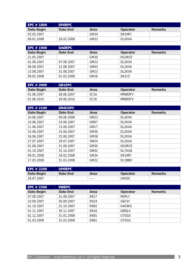| $EPC \# 1800$ | <b>DFØEPC</b> |      |          |                |
|---------------|---------------|------|----------|----------------|
| Date Begin    | Date End      | Area | Operator | <b>Remarks</b> |
| 03.05.2007    |               | GM34 | DK1MFI   |                |
| 09.01.2008    | 29.02.2008    | GM23 | DL2KXA   |                |

| EPC $# 1900$ | <b>DAØEPC</b> |                  |                 |                |
|--------------|---------------|------------------|-----------------|----------------|
| Date Begin   | Date End      | Area             | <b>Operator</b> | <b>Remarks</b> |
| 21.05.2007   |               | <b>GM30</b>      | DG3RCE          |                |
| 01.08.2007   | 07.08.2007    | GM23             | DL2KXA          |                |
| 08.08.2007   | 12.08.2007    | GM03             | DL2KXA          |                |
| 13.08.2007   | 31.08.2007    | GM23             | DL2KXA          |                |
| 09.02.2008   | 01.03.2008    | GM <sub>16</sub> | <b>DK1IO</b>    |                |

| EPC # 2000 | <b>GB1EPC</b> |                  |               |                |
|------------|---------------|------------------|---------------|----------------|
| Date Begin | Date End      | Area             | Operator      | <b>Remarks</b> |
| 01.06.2007 | 28.06.2007    | SC <sub>16</sub> | <b>MMØDFV</b> |                |
| 01.06.2010 | 28.06.2010    | SC <sub>16</sub> | <b>MMØDFV</b> |                |

| EPC # 2100        | <b>DRØ1EPC</b> |             |          |                |
|-------------------|----------------|-------------|----------|----------------|
| <b>Date Begin</b> | Date End       | Area        | Operator | <b>Remarks</b> |
| 10.06.2007        | 09.06.2008     | GM23        | DL2KXA   |                |
| 10.06.2007        | 10.06.2007     | GM07        | DL2KXA   |                |
| 11.06.2007        | 13.06.2007     | <b>GM17</b> | DL2KXA   |                |
| 15.06.2007        | 15.06.2007     | GM30        | DL2KXA   |                |
| 16.06.2007        | 25.06.2007     | GM38        | DL2KXA   |                |
| 27.07.2007        | 29.07.2007     | GM24        | DL2KXA   |                |
| 01.08.2007        | 31.08.2007     | GM30        | DG3RCE   |                |
| 01.10.2007        | 31.10.2007     | GM02        | DL7AUB   |                |
| 09.01.2008        | 29.02.2008     | GM34        | DK1MFI   |                |
| 17.03.2008        | 31.03.2008     | <b>GM22</b> | DL1BBO   |                |

| EPC # 2200' | <b>UPØEPC</b> |      |          |                |
|-------------|---------------|------|----------|----------------|
| Date Begin  | Date End      | Area | Operator | <b>Remarks</b> |
| 28.07.2007  |               | ---- | UN1EE    |                |

| EPC $#2300$ | <b>MØEPC</b>    |             |          |                |
|-------------|-----------------|-------------|----------|----------------|
| Date Begin  | <b>Date End</b> | Area        | Operator | <b>Remarks</b> |
| 07.08.2007  | 31.08.2007      | <b>EN17</b> | M5PLY    |                |
| 10.09.2007  | 30.09.2007      | <b>EN24</b> | G6CSY    |                |
| 01.10.2007  | 31.10.2007      | <b>EN82</b> | G4OWG    |                |
| 01.11.2007  | 30.11.2007      | <b>EN16</b> | GØDJA    |                |
| 01.12.2007  | 31.01.2008      | <b>EN81</b> | G7OGX    |                |
| 01.03.2009  | 31.03.2009      | <b>EN81</b> | G7OGX    |                |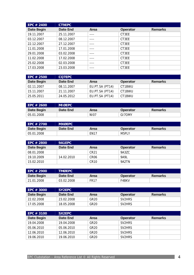| EPC # 2400 | <b>CT9EPC</b> |      |          |                |
|------------|---------------|------|----------|----------------|
| Date Begin | Date End      | Area | Operator | <b>Remarks</b> |
| 19.11.2007 | 25.11.2007    |      | CT3EE    |                |
| 03.12.2007 | 08.12.2007    |      | CT3EE    |                |
| 22.12.2007 | 27.12.2007    | ---- | CT3EE    |                |
| 11.01.2008 | 17.01.2008    | ---- | CT3EE    |                |
| 29.01.2008 | 03.02.2008    | ---- | CT3EE    |                |
| 11.02.2008 | 17.02.2008    |      | CT3EE    |                |
| 25.02.2008 | 02.03.2008    | ---- | CT3EE    |                |
| 17.03.2008 | 23.03.2008    |      | CT3EE    |                |

| EPC $#2500$ | <b>CO7EPC</b> |                 |          |                |
|-------------|---------------|-----------------|----------|----------------|
| Date Begin  | Date End      | Area            | Operator | <b>Remarks</b> |
| 02.11.2007  | 08.11.2007    | EU.PT.SA (PT14) | CT1BWU   |                |
| 15.11.2007  | 21.11.2007    | EU.PT.SA (PT14) | CT1BWU   |                |
| 25.05.2011  | 24.05.2012    | EU.PT.SA (PT14) | CT1BWU   |                |

| EPC # 2600 | <b>MIØEPC</b> |             |          |         |
|------------|---------------|-------------|----------|---------|
| Date Begin | Date End      | Area        | Operator | Remarks |
| 05.01.2008 |               | <b>NI07</b> | GI7OMY   |         |

| EPC # 2700 | <b>MXØEPC</b> |             |          |         |
|------------|---------------|-------------|----------|---------|
| Date Begin | Date End      | Area        | Operator | Remarks |
| 05.01.2008 |               | <b>EN17</b> | M5PLY    |         |

| EPC # 2800 | 9A1EPC     |                  |                 |                |
|------------|------------|------------------|-----------------|----------------|
| Date Begin | Date End   | Area             | <b>Operator</b> | <b>Remarks</b> |
| 08.01.2008 |            | CR21             | 9A3ZC           |                |
| 19.10.2009 | 14.02.2010 | CR06             | 9A9L            |                |
| 15.02.2010 |            | CR <sub>10</sub> | 9A2TN           |                |

| EPC # 2900            | <b>TMØEPC</b> |      |                 |                |
|-----------------------|---------------|------|-----------------|----------------|
| Date Begin            | Date End      | Area | <b>Operator</b> | <b>Remarks</b> |
| $^{\circ}$ 21.01.2008 | 03.02.2008    | FR17 | F4BKV           |                |

| EPC # 3000  | SY2EPC     |                  |                     |                |
|-------------|------------|------------------|---------------------|----------------|
| Date Begin  | Date End   | Area             | Operator            | <b>Remarks</b> |
| -22.02.2008 | 23.02.2008 | GR <sub>20</sub> | <b>SV2HRS</b>       |                |
| 17.05.2008  | 18.05.2008 | GR <sub>20</sub> | SV <sub>2</sub> HRS |                |

| EPC $# 3100$ | SX2EPC     |                  |                     |                |
|--------------|------------|------------------|---------------------|----------------|
| Date Begin   | Date End   | Area             | Operator            | <b>Remarks</b> |
| 19.04.2008   | 19.04.2008 | GR <sub>20</sub> | SV <sub>2</sub> HRS |                |
| 05.06.2010   | 05.06.2010 | GR <sub>20</sub> | SV <sub>2</sub> HRS |                |
| 12.06.2010   | 12.06.2010 | GR <sub>20</sub> | SV <sub>2</sub> HRS |                |
| 19.06.2010   | 19.06.2010 | GR <sub>20</sub> | SV <sub>2</sub> HRS |                |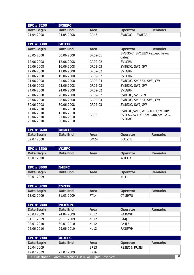| EPC # 3200 | SX8EPC     |      |                 |                |
|------------|------------|------|-----------------|----------------|
| Date Begin | Date End   | Area | Operator        | <b>Remarks</b> |
| 21.04.2008 | 04.05.2008 | GR43 | SV8GXC + SV8FCA |                |

| EPC # 3300                                           | <b>SX1EPC</b>                                        |                  |                                                                              |                |
|------------------------------------------------------|------------------------------------------------------|------------------|------------------------------------------------------------------------------|----------------|
| Date Begin                                           | Date End                                             | Area             | Operator                                                                     | <b>Remarks</b> |
| 26.05.2008                                           | 30.06.2008                                           | GR02-01          | SV8GXC, SV1EEX (except below<br>dates)                                       |                |
| 12.06.2008                                           | 12.06.2008                                           | GR02-02          | SV1GRN                                                                       |                |
| 16.06.2008                                           | 16.06.2008                                           | GR02-03          | SV8GXC, SW1JGW                                                               |                |
| 17.06.2008                                           | 17.06.2008                                           | GR02-02          | SV1GRN                                                                       |                |
| 19.06.2008                                           | 19.06.2008                                           | GR02-02          | SV1GRN                                                                       |                |
| 21.06.2008                                           | 21.06.2008                                           | GR02-04          | SV8GXC, SV1EEX, SW1JGW                                                       |                |
| 23.06.2008                                           | 23.06.2008                                           | GR02-03          | SV8GXC, SW1JGW                                                               |                |
| 24.06.2008                                           | 24.06.2008                                           | GR02-02          | SV1GRN                                                                       |                |
| 26.06.2008                                           | 26.06.2008                                           | GR02-02          | SV8GXC, SV1GRN                                                               |                |
| 28.06.2008                                           | 28.06.2008                                           | GR02-04          | SV8GXC, SV1EEX, SW1JGW                                                       |                |
| 30.06.2008                                           | 30.06.2008                                           | GR02-03          | SV8GXC, SW1JGW                                                               |                |
| 01.06.2010<br>10.06.2010<br>19.06.2010<br>28.06.2010 | 03.06.2010<br>12.06.2010<br>21.06.2010<br>30.06.2010 | GR <sub>02</sub> | SV8GXC, SV1BJW, SV1CDY, SV1DBY,<br>SV1EAG, SV1EGE, SV1GRN, SV1GYG,<br>SV1HAG |                |

| EPC # 3400            | <b>DNØEPC</b> |                  |                 |                |
|-----------------------|---------------|------------------|-----------------|----------------|
| Date Begin            | Date End      | Area             | <b>Operator</b> | <b>Remarks</b> |
| $^{\circ}$ 02.07.2008 |               | GM <sub>24</sub> | DO1ZHL          |                |

| EPC # 3500            | <b>W1EPC</b> |      |                    |         |
|-----------------------|--------------|------|--------------------|---------|
| Date Begin            | Date End     | Area | Operator           | Remarks |
| $^{\circ}$ 12.07.2008 |              | ---- | W <sub>1</sub> CDX |         |

| EPC # 3600 | <b>N4EPC</b> |      |                 |                |
|------------|--------------|------|-----------------|----------------|
| Date Begin | Date End     | Area | <b>Operator</b> | <b>Remarks</b> |
| 30.01.2009 |              | ---- | KU1T            |                |

| EPC # 3700' | <b>CS2EPC</b> |      |          |                |
|-------------|---------------|------|----------|----------------|
| Date Begin  | Date End      | Area | Operator | <b>Remarks</b> |
| 13.02.2009  | 31.03.2009    | PT14 | CT1BWU   |                |

| EPC # 3800 | <b>PA3ØEPC</b> |             |          |                |
|------------|----------------|-------------|----------|----------------|
| Date Begin | Date End       | Area        | Operator | <b>Remarks</b> |
| 28.03.2009 | 24.04.2009     | NI 12       | PA3GWH   |                |
| 01.11.2009 | 29.11.2009     | NI 12       | PA4JB    |                |
| 02.01.2010 | 30.01.2010     | <b>NL12</b> | PA4JB    |                |
| 02.06.2010 | 29.06.2010     | <b>NL12</b> | PA3GWH   |                |

| $EPC \# 3900$                                                     | <b>UE3EPC</b> |                  |               |                |
|-------------------------------------------------------------------|---------------|------------------|---------------|----------------|
| Date Begin                                                        | Date End      | Area             | Operator      | <b>Remarks</b> |
| 16.04.2009                                                        |               | FR <sub>13</sub> | RZ3FC & RU3FJ |                |
| 12.07.2009                                                        | 23.07.2009    | ER <sub>26</sub> |               |                |
| EPC Clubstation - Area Reference List $\odot$ All Rights Reserved |               |                  |               |                |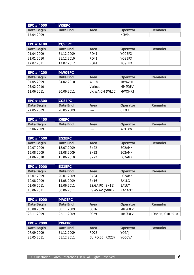| EPC $# 4000$          | <b>W5EPC</b> |           |                 |                |
|-----------------------|--------------|-----------|-----------------|----------------|
| Date Begin            | Date End     | Area      | <b>Operator</b> | <b>Remarks</b> |
| $^{\circ}$ 17.04.2009 |              | $- - - -$ | NØVPL           |                |

| <b>LEPC # 4100</b> | YO9EPC     |                  |          |                |
|--------------------|------------|------------------|----------|----------------|
| Date Begin         | Date End   | Area             | Operator | <b>Remarks</b> |
| 01.04.2009         | 31.12.2009 | RO41             | YO9BPX   |                |
| 21.01.2010         | 31.12.2010 | R <sub>041</sub> | YO9BPX   |                |
| 17.02.2011         | 17.02.2012 | RO41             | YO9BPX   |                |

| EPC $#$ 4200 | <b>MWØEPC</b> |                 |                 |                |
|--------------|---------------|-----------------|-----------------|----------------|
| Date Begin   | Date End      | Area            | <b>Operator</b> | <b>Remarks</b> |
| 07.05.2009   | 04.02.2010    | <b>WL18</b>     | MW6VHF          |                |
| 05.02.2010   |               | Various         | <b>MMØDFV</b>   |                |
| 11.06.2011   | 30.06.2011    | UK.WA.CM (WL06) | MWØMXT          |                |

| EPC # 4300' | <b>CO3EPC</b> |      |                 |         |
|-------------|---------------|------|-----------------|---------|
| Date Begin  | Date End      | Area | <b>Operator</b> | Remarks |
| 24.05.2009  | 28.05.2009    | ---- | CT3EE           |         |

| EPC # 4400 | K6EPC    |      |                 |                |
|------------|----------|------|-----------------|----------------|
| Date Begin | Date End | Area | <b>Operator</b> | <b>Remarks</b> |
| 06.06.2009 |          | ---- | W6DAW           |                |

| EPC # 4500 | EG2EPC     |             |                 |                |
|------------|------------|-------------|-----------------|----------------|
| Date Begin | Date End   | Area        | <b>Operator</b> | <b>Remarks</b> |
| 10.07.2009 | 18.07.2009 | SN22        | FC2AMN          |                |
| 15.08.2009 | 23.08.2009 | <b>SN22</b> | <b>FC2AMN</b>   |                |
| 01.06.2010 | 15.06.2010 | <b>SN22</b> | <b>FC2AMN</b>   |                |

| EPC $# 5000$ | EG1EPC     |                 |          |                |
|--------------|------------|-----------------|----------|----------------|
| Date Begin   | Date End   | Area            | Operator | <b>Remarks</b> |
| 12.07.2009   | 20.07.2009 | <b>SN04</b>     | EC2AMN   |                |
| 10.08.2009   | 14.08.2009 | <b>SN16</b>     | EA1LG    |                |
| 01.06.2011   | 15.06.2011 | ES.GA.PO (SN11) | EA1UY    |                |
| 15.06.2011   | 30.06.2011 | ES.AS.AV (SN01) | EA1AST   |                |

| EPC # 6000 | <b>MAØEPC</b> |                  |               |                 |
|------------|---------------|------------------|---------------|-----------------|
| Date Begin | Date End      | Area             | Operator      | <b>Remarks</b>  |
| 15.08.2009 | 30.11.2009    | SC <sub>16</sub> | <b>MMØDFV</b> |                 |
| 22.11.2009 | 22.11.2009    | SC <sub>29</sub> | <b>MMØDFV</b> | IO85ER, GMFF010 |

| EPC # 7000 | <b>YP6EPC</b> |                  |          |                |
|------------|---------------|------------------|----------|----------------|
| Date Begin | Date End      | Area             | Operator | <b>Remarks</b> |
| 07.09.2009 | 31.12.2009    | RO <sub>23</sub> | YO6AJI   |                |
| 23.05.2011 | 31.12.2011    | EU.RO.SB (RO23)  | YO6CVA   |                |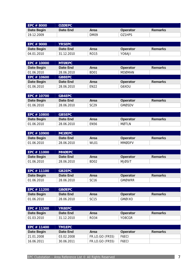| EPC # 8000               | <b>OZØEPC</b>                    |                  |               |                |
|--------------------------|----------------------------------|------------------|---------------|----------------|
| Date Begin               | <b>Date End</b>                  | Area             | Operator      | <b>Remarks</b> |
| 19.12.2009               |                                  | <b>DM09</b>      | OZ1HPS        |                |
|                          |                                  |                  |               |                |
| EPC # 9000               | <b>YR5EPC</b>                    |                  |               |                |
| Date Begin               | <b>Date End</b>                  | Area             | Operator      | <b>Remarks</b> |
| 04.01.2010               | 31.12.2010                       | <b>RO15</b>      | YO6AJI        |                |
|                          |                                  |                  |               |                |
| EPC # 10000              | <b>MTØEPC</b>                    |                  |               |                |
| <b>Date Begin</b>        | <b>Date End</b>                  | Area             | Operator      | <b>Remarks</b> |
| 01.06.2010               | 28.06.2010                       | BD01             | <b>MDØMAN</b> |                |
| EPC # 10600              | <b>GB8EPC</b>                    |                  |               |                |
| Date Begin               | <b>Date End</b>                  | Area             | Operator      | <b>Remarks</b> |
| 01.06.2010               | 28.06.2010                       | <b>EN22</b>      | G6XOU         |                |
|                          |                                  |                  |               |                |
| EPC # 10700              | <b>GB4EPC</b>                    |                  |               |                |
| Date Begin               | <b>Date End</b>                  | Area             | Operator      | <b>Remarks</b> |
| 01.06.2010               | 28.06.2010                       | <b>SC29</b>      | <b>GMØSDV</b> |                |
|                          |                                  |                  |               |                |
| EPC # 10800              | <b>GB5EPC</b>                    |                  |               |                |
| <b>Date Begin</b>        | <b>Date End</b>                  | Area             | Operator      | <b>Remarks</b> |
| 01.06.2010               | 28.06.2010                       | <b>EN56</b>      | <b>MØTLN</b>  |                |
|                          |                                  |                  |               |                |
| EPC # 10900              | <b>MCØEPC</b><br><b>Date End</b> |                  |               | <b>Remarks</b> |
| Date Begin<br>01.06.2010 |                                  | Area             | Operator      |                |
|                          | 28.06.2010                       | WL01             | <b>MMØDFV</b> |                |
| EPC # 11000              | <b>MHØEPC</b>                    |                  |               |                |
| Date Begin               | <b>Date End</b>                  | Area             | Operator      | <b>Remarks</b> |
| 01.06.2010               | 28.06.2010                       | BD <sub>02</sub> | <b>MJØSIT</b> |                |
|                          |                                  |                  |               |                |
| EPC # 11100              | <b>GB2EPC</b>                    |                  |               |                |
| <b>Date Begin</b>        | <b>Date End</b>                  | Area             | Operator      | <b>Remarks</b> |
| 01.06.2010               | 28.06.2010                       | <b>SC16</b>      | <b>GMØWRR</b> |                |
|                          |                                  |                  |               |                |
| EPC # 11200              | <b>GBØEPC</b>                    |                  |               |                |
| <b>Date Begin</b>        | <b>Date End</b>                  | Area             | Operator      | <b>Remarks</b> |
| 01.06.2010               | 28.06.2010                       | <b>SC15</b>      | <b>GMØIXO</b> |                |
|                          |                                  |                  |               |                |
| EPC # 11300              | <b>YR8EPC</b>                    |                  |               |                |
| Date Begin               | <b>Date End</b>                  | Area             | Operator      | <b>Remarks</b> |
| 01.03.2010               | 31.12.2010                       | <b>RO34</b>      | YO8CGR        |                |
|                          |                                  |                  |               |                |
| EPC # 11400              | <b>TM1EPC</b>                    |                  |               |                |
| Date Begin               | <b>Date End</b>                  | Area             | Operator      | <b>Remarks</b> |
| 21.01.2008               | 03.02.2008                       | FR.LO.GO (FR55)  | F6ECI         |                |
| 16.06.2011               | 30.06.2011                       | FR.LO.GO (FR55)  | F6ECI         |                |
|                          |                                  |                  |               |                |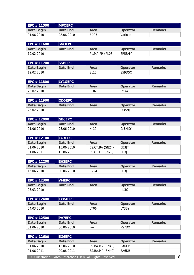| EPC # 11500 | <b>MPØEPC</b> |                  |                 |                |
|-------------|---------------|------------------|-----------------|----------------|
| Date Begin  | Date End      | Area             | <b>Operator</b> | <b>Remarks</b> |
| 01.06.2010  | 28.06.2010    | BD <sub>05</sub> | Various         |                |

| EPC # 11600           | <b>SNØEPC</b> |                 |          |         |
|-----------------------|---------------|-----------------|----------|---------|
| Date Begin            | Date End      | Area            | Operator | Remarks |
| $^{\circ}$ 19.02.2010 |               | PL.MA.PR (PL08) | SP5BHY   |         |

| EPC # 11700 | <b>S5ØEPC</b> |             |          |                |
|-------------|---------------|-------------|----------|----------------|
| Date Begin  | Date End      | Area        | Operator | <b>Remarks</b> |
| 19.02.2010  |               | <b>SL10</b> | S59DSC   |                |

| EPC # 11800 | LY1ØEPC  |      |                 |                |
|-------------|----------|------|-----------------|----------------|
| Date Begin  | Date End | Area | <b>Operator</b> | <b>Remarks</b> |
| 25.02.2010  |          | LT02 | LY3W            |                |

| EPC # 11900 | <b>OD5EPC</b> |      |                 |                |
|-------------|---------------|------|-----------------|----------------|
| Date Begin  | Date End      | Area | <b>Operator</b> | <b>Remarks</b> |
| 25.02.2010  |               | ---- | OD5NJ           |                |

| EPC # 12000                      | <b>GB6EPC</b> |                 |                 |                |
|----------------------------------|---------------|-----------------|-----------------|----------------|
| Date Begin                       | Date End      | Area            | <b>Operator</b> | <b>Remarks</b> |
| $^{\circ}$ 01.06.2010 $^{\circ}$ | 28.06.2010    | N <sub>19</sub> | GI8HXY          |                |

| EPC $#$ 12100 | EG3EPC     |                 |          |                |
|---------------|------------|-----------------|----------|----------------|
| Date Begin    | Date End   | Area            | Operator | <b>Remarks</b> |
| 01.06.2010    | 15.06.2010 | ES.CT.BA (SN24) | EB3JT    |                |
| 01.06.2011    | 15.06.2011 | ES.CT.LE (SN26) | EB3JT    |                |

| EPC # 12200 | <b>EH3EPC</b> |             |                 |                |
|-------------|---------------|-------------|-----------------|----------------|
| Date Begin  | Date End      | Area        | <b>Operator</b> | <b>Remarks</b> |
| 16.06.2010  | 30.06.2010    | <b>SN24</b> | EB3JT           |                |

| EPC # 12300           | <b>W4EPC</b> |      |          |                |
|-----------------------|--------------|------|----------|----------------|
| Date Begin            | Date End     | Area | Operator | <b>Remarks</b> |
| $^{\circ}$ 03.03.2010 |              | ---- | KK3C     |                |

| EPC # 12400                      | <b>LYØ4EPC</b> |      |          |                |
|----------------------------------|----------------|------|----------|----------------|
| Date Begin                       | Date End       | Area | Operator | <b>Remarks</b> |
| $^{\circ}$ 04.03.2010 $^{\circ}$ |                | LT06 | LY3BY    |                |

| EPC # 12500        | <b>PV7EPC</b> |      |              |                |
|--------------------|---------------|------|--------------|----------------|
| Date Begin         | Date End      | Area | Operator     | <b>Remarks</b> |
| $\vert$ 01.06.2010 | 30.06.2010    | ---- | <b>PS7DX</b> |                |

| EPC # 12600                                                      | EG6EPC     |                 |          |                |  |
|------------------------------------------------------------------|------------|-----------------|----------|----------------|--|
| Date Begin                                                       | Date End   | Area            | Operator | <b>Remarks</b> |  |
| 01.06.2010                                                       | 15.06.2010 | ES.BA.MA (SN40) | EA6DB    |                |  |
| 01.06.2011                                                       | 20.06.2011 | ES.BA.MA (SN40) | EA6DB    |                |  |
| 8<br>EPC Clubstation - Area Reference List © All Rights Reserved |            |                 |          |                |  |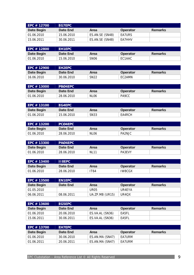| EPC # 12700 | <b>LEG7EPC</b> |                 |               |                |
|-------------|----------------|-----------------|---------------|----------------|
| Date Begin  | Date End       | Area            | Operator      | <b>Remarks</b> |
| 01.06.2010  | 15.06.2010     | ES.AN.SE (SN48) | EA7URS        |                |
| 15.06.2011  | 30.06.2011     | ES.AN.SE (SN48) | <b>FA7HHV</b> |                |

| EPC # 12800 | <b>EH1EPC</b> |                  |                 |                |
|-------------|---------------|------------------|-----------------|----------------|
| Date Begin  | Date End      | Area             | <b>Operator</b> | <b>Remarks</b> |
| 01.06.2010  | 15.06.2010    | SN <sub>06</sub> | EC1AAC          |                |

| EPC # 12900 | <b>EH2EPC</b> |             |          |                |
|-------------|---------------|-------------|----------|----------------|
| Date Begin  | Date End      | Area        | Operator | <b>Remarks</b> |
| 16.06.2010  | 30.06.2010    | <b>SN22</b> | EC2AMN   |                |

| EPC # 13000 | <b>PBØ4EPC</b> |                  |                 |         |
|-------------|----------------|------------------|-----------------|---------|
| Date Begin  | Date End       | Area             | <b>Operator</b> | Remarks |
| 01.06.2010  | 28.06.2010     | NL <sub>06</sub> | PA9CC           |         |

| EPC # 13100 | EG4EPC     |      |          |                |
|-------------|------------|------|----------|----------------|
| Date Begin  | Date End   | Area | Operator | <b>Remarks</b> |
| 01.06.2010  | 15.06.2010 | SN33 | EA4RCH   |                |

| EPC # 13200 | <b>PCØ4EPC</b> |                  |                 |         |
|-------------|----------------|------------------|-----------------|---------|
| Date Begin  | Date End       | Area             | <b>Operator</b> | Remarks |
| 01.06.2010  | 28.06.2010     | NL <sub>06</sub> | PA2NJC          |         |

| EPC # 13300 | <b>PAØ4EPC</b> |             |                 |         |
|-------------|----------------|-------------|-----------------|---------|
| Date Begin  | Date End       | Area        | <b>Operator</b> | Remarks |
| 01.06.2010  | 28.06.2010     | <b>NL11</b> | PA3EVY          |         |

| EPC # 13400      | III8EPC '  |      |               |                |
|------------------|------------|------|---------------|----------------|
| Date Begin       | Date End   | Area | Operator      | <b>Remarks</b> |
| $\pm 01.06.2010$ | 28.06.2010 | 'T64 | <b>IW8CGX</b> |                |

| $\overline{\phantom{1}}$ EPC $\#$ 13500 $\overline{\phantom{1}}$ | <b>EN1EPC</b> |                 |                    |                |
|------------------------------------------------------------------|---------------|-----------------|--------------------|----------------|
| Date Begin                                                       | Date End      | Area            | Operator           | <b>Remarks</b> |
| 01.05.2010                                                       |               | UR05            | UR4EYA             |                |
| 06.06.2011                                                       | 08.06.2011    | UA.ZP.MB (UR15) | UR <sub>4</sub> OX |                |

| <b>LEPC # 13600</b> | EG5EPC     |                 |          |                |
|---------------------|------------|-----------------|----------|----------------|
| Date Begin          | Date End   | Area            | Operator | <b>Remarks</b> |
| 01.06.2010          | 20.06.2010 | ES.VA.AL (SN36) | EA5FL    |                |
| 15.06.2011          | 30.06.2011 | ES.VA.AL (SN36) | EA5FL    |                |

| l EPC # 13700 | <b>LEH7EPC</b> |                 |          |                |
|---------------|----------------|-----------------|----------|----------------|
| Date Begin    | Date End       | Area            | Operator | <b>Remarks</b> |
| 01.06.2010    | 30.06.2010     | ES.AN.MA (SN47) | EA7URM   |                |
| 01.06.2011    | 20.06.2011     | ES.AN.MA (SN47) | EA7URM   |                |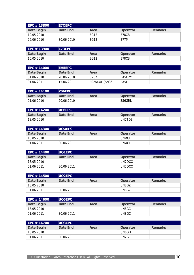| EPC # 13800 | E7ØEPC     |             |          |                |
|-------------|------------|-------------|----------|----------------|
| Date Begin  | Date End   | Area        | Operator | <b>Remarks</b> |
| 10.05.2010  |            | <b>BG12</b> | E78CB    |                |
| 26.06.2010  | 30.06.2010 | <b>BG12</b> | E77M     |                |

| EPC # 13900 | E73EPC   |             |                 |         |
|-------------|----------|-------------|-----------------|---------|
| Date Begin  | Date End | Area        | <b>Operator</b> | Remarks |
| 10.05.2010  |          | <b>BG12</b> | E78CB           |         |

| EPC # 14000 | <b>EH5EPC</b> ' |                 |          |                |
|-------------|-----------------|-----------------|----------|----------------|
| Date Begin  | Date End        | Area            | Operator | <b>Remarks</b> |
| 01.06.2010  | 20.06.2010      | <b>SN37</b>     | EA5GZY   |                |
| 01.06.2011  | 15.06.2011      | ES.VA.AL (SN36) | EA5FL    |                |

| EPC # 14100                      | <b>ZS6EPC</b> |      |                 |                |
|----------------------------------|---------------|------|-----------------|----------------|
| Date Begin                       | Date End      | Area | <b>Operator</b> | <b>Remarks</b> |
| $^{\circ}$ 01.06.2010 $^{\circ}$ | 20.06.2010    |      | ZS6GRL          |                |

| EPC # 14200 | <b>UP6EPC</b> |      |          |                |
|-------------|---------------|------|----------|----------------|
| Date Begin  | Date End      | Area | Operator | <b>Remarks</b> |
| 18.05.2010  |               |      | UN7TDB   |                |

| EPC # 14300 | <b>UOØEPC</b> |      |          |                |
|-------------|---------------|------|----------|----------------|
| Date Begin  | Date End      | Area | Operator | <b>Remarks</b> |
| 18.05.2010  |               |      | UNØGL    |                |
| 01.06.2011  | 30.06.2011    |      | UNØGL    |                |

| EPC # 14400 | UQ1EPC     |      |          |                |
|-------------|------------|------|----------|----------------|
| Date Begin  | Date End   | Area | Operator | <b>Remarks</b> |
| 18.05.2010  |            |      | UN7OCC   |                |
| 01.06.2011  | 30.06.2011 |      | UN7OCC   |                |

| EPC # 14500 | <b>UO2EPC</b> |      |          |                |
|-------------|---------------|------|----------|----------------|
| Date Begin  | Date End      | Area | Operator | <b>Remarks</b> |
| 18.05.2010  |               |      | UN8GZ    |                |
| 01.06.2011  | 30.06.2011    |      | UN8GZ    |                |

| EPC # 14600 | <b>UO5EPC</b> |      |          |                |
|-------------|---------------|------|----------|----------------|
| Date Begin  | Date End      | Area | Operator | <b>Remarks</b> |
| 18.05.2010  |               |      | UN8GC    |                |
| 01.06.2011  | 30.06.2011    |      | UN8GC    |                |

| EPC # 14700 | <b>UO3EPC</b> |      |          |                |
|-------------|---------------|------|----------|----------------|
| Date Begin  | Date End      | Area | Operator | <b>Remarks</b> |
| 18.05.2010  |               |      | UN6GD    |                |
| 01.06.2011  | 30.06.2011    |      | UN2G     |                |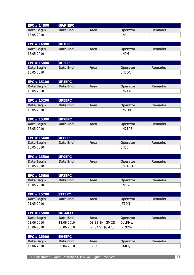| EPC # 14800 | UPØ4EPC  |      |                 |                |
|-------------|----------|------|-----------------|----------------|
| Date Begin  | Date End | Area | <b>Operator</b> | <b>Remarks</b> |
| 18.05.2010  |          |      | UN1L            |                |

| EPC # 14900 | <b>UP1EPC</b> |      |                 |                |
|-------------|---------------|------|-----------------|----------------|
| Date Begin  | Date End      | Area | <b>Operator</b> | <b>Remarks</b> |
| 18.05.2010  |               |      | UN9M            |                |

| EPC # 15000 | <b>UP2EPC</b> |      |                 |         |
|-------------|---------------|------|-----------------|---------|
| Date Begin  | Date End      | Area | <b>Operator</b> | Remarks |
| 18.05.2010  |               |      | UN7DA           |         |

| EPC # 15100 | <b>UP4EPC</b> |      |          |                |
|-------------|---------------|------|----------|----------------|
| Date Begin  | Date End      | Area | Operator | <b>Remarks</b> |
| 18.05.2010  |               |      | UN7TW    |                |

| l EPC # 15200 | UP5EPC   |      |          |                |
|---------------|----------|------|----------|----------------|
| Date Begin    | Date End | Area | Operator | <b>Remarks</b> |
| 18.05.2010    |          |      | UN7ON    |                |

| EPC # 15300 | <b>UP7EPC</b> |      |          |         |
|-------------|---------------|------|----------|---------|
| Date Begin  | Date End      | Area | Operator | Remarks |
| 18.05.2010  |               |      | UN7TAE   |         |

| EPC # 15400  | <b>UP8EPC</b> |      |                   |                |
|--------------|---------------|------|-------------------|----------------|
| Date Begin   | Date End      | Area | Operator          | <b>Remarks</b> |
| ່ 18.05.2010 |               |      | UN <sub>5</sub> C |                |

| EPC # 15500 | UP9EPC   |      |                 |                |
|-------------|----------|------|-----------------|----------------|
| Date Begin  | Date End | Area | <b>Operator</b> | <b>Remarks</b> |
| 18.05.2010  |          |      | UN7TGO          |                |

| EPC # 15600 | <b>UP3EPC</b> |      |                 |         |
|-------------|---------------|------|-----------------|---------|
| Date Begin  | Date End      | Area | <b>Operator</b> | Remarks |
| 18.05.2010  |               |      | UN8GZ           |         |

| EPC # 15700 | <b>JT1EPC</b> |      |          |                |
|-------------|---------------|------|----------|----------------|
| Date Begin  | Date End      | Area | Operator | <b>Remarks</b> |
| 21.05.2010  |               |      | JT1DN    |                |

| EPC # 15800 | <b>DRØ4EPC</b> |                 |          |                |
|-------------|----------------|-----------------|----------|----------------|
| Date Begin  | Date End       | Area            | Operator | <b>Remarks</b> |
| 01.06.2010  | 14.06.2010     | DE.BB.BH (GM03) | DI 1RMW  |                |
| 15.06.2010  | 30.06.2010     | DE.SA.ST (GM23) | DL2KXA   |                |

| EPC # 15900 | <b>EH4EPC</b> |      |          |         |  |
|-------------|---------------|------|----------|---------|--|
| Date Begin  | Date End      | Area | Operator | Remarks |  |
| 16.06.2010  | 30.06.2010    | SN33 | EA4EO    |         |  |

EPC Clubstation – Area Reference List © All Rights Reserved 11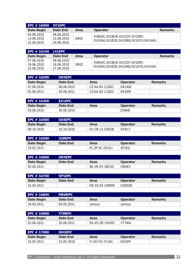| EPC # 16000   SY1EPC     |                          |      |                                        |                |
|--------------------------|--------------------------|------|----------------------------------------|----------------|
| Date Begin               | Date End                 | Area | <b>Operator</b>                        | <b>Remarks</b> |
| 04.06.2010<br>13.06.2010 | 06.06.2010<br>15.06.2010 | GR02 | SV8GXC, SV1BJW, SV1CDY, SV1DBY,        |                |
| 22.06.2010               | 24.06.2010               |      | SV1EAG, SV1EGE, SV1GRN, SV1GYG, SV1HAG |                |

| EPC # 16100   J41EPC |            |                  |                                                                           |                |
|----------------------|------------|------------------|---------------------------------------------------------------------------|----------------|
| Date Begin           | Date End   | Area             | Operator                                                                  | <b>Remarks</b> |
| 07.06.2010           | 09.06.2010 |                  |                                                                           |                |
| 16.06.2010           | 18.06.2010 | GR <sub>02</sub> | SV8GXC, SV1BJW, SV1CDY, SV1DBY,<br>SV1EAG, SV1EGE, SV1GRN, SV1GYG, SV1HAG |                |
| 25.06.2010           | 27.06.2010 |                  |                                                                           |                |

| EPC # 16200 | <b>OK5EPC</b> |                 |                 |                |
|-------------|---------------|-----------------|-----------------|----------------|
| Date Begin  | Date End      | Area            | <b>Operator</b> | <b>Remarks</b> |
| 07.06.2010  | 06.06.2015    | CZ.KA.KV (CZ02) | OK1AW           |                |
| 01.06.2011  | 30.06.2011    | CZ.KA.SO (CZ02) | OK1KM           |                |

| EPC $#$ 16300 | EX1EPC     |      |          |                |
|---------------|------------|------|----------|----------------|
| Date Begin    | Date End   | Area | Operator | <b>Remarks</b> |
| 19.06.2010    | 30.06.2010 |      | EX8AB    |                |

| l EPC # 16400 | SX4EPC     |                 |          |         |
|---------------|------------|-----------------|----------|---------|
| Date Begin    | Date End   | Area            | Operator | Remarks |
| 09.10.2010    | 10.10.2010 | EU.GR.LS (GR29) | SV4ILY   |         |

| EPC # 16500 | 3ZØEPC <sup>'</sup> |                 |          |                |
|-------------|---------------------|-----------------|----------|----------------|
| Date Begin  | Date End            | Area            | Operator | <b>Remarks</b> |
| 19.02.2011  |                     | PL.ZP.SC (PL01) | SP1EG    |                |

| EPC # 16600           | <b>OR5EPC</b> |                 |          |         |
|-----------------------|---------------|-----------------|----------|---------|
| Date Begin            | Date End      | Area            | Operator | Remarks |
| $^{\circ}$ 05.04.2011 |               | BE.VB.HV (BE10) | ON4KV    |         |

| EPC # 16700           | 5P1EPC   |                 |                 |                |
|-----------------------|----------|-----------------|-----------------|----------------|
| Date Begin            | Date End | Area            | <b>Operator</b> | <b>Remarks</b> |
| $^{\circ}$ 15.04.2011 |          | DK.SD.ES (DM09) | OZ5ESB          |                |

| EPC # 16800 | <b>IMRØEPC</b> |         |          |                |
|-------------|----------------|---------|----------|----------------|
| Date Begin  | Date End       | Area    | Operator | <b>Remarks</b> |
| 29.04.2011  | 09.05.2011     | various | various  |                |

| EPC # 16900 | <b>YTØEPC</b> |                 |          |                |
|-------------|---------------|-----------------|----------|----------------|
| Date Begin  | Date End      | Area            | Operator | <b>Remarks</b> |
| 01.06.2011  | 30.06.2011    | RS.VO.ZR (VO05) | YT7WA    |                |

| <b>LEPC # 17000</b> | <b>IOH3EPC</b> 1 |                 |                    |         |
|---------------------|------------------|-----------------|--------------------|---------|
| Date Begin          | Date End         | Area            | Operator           | Remarks |
| 10.05.2011          | 31.05.2016       | FI.KH.FO (FL04) | OH <sub>3</sub> DP |         |